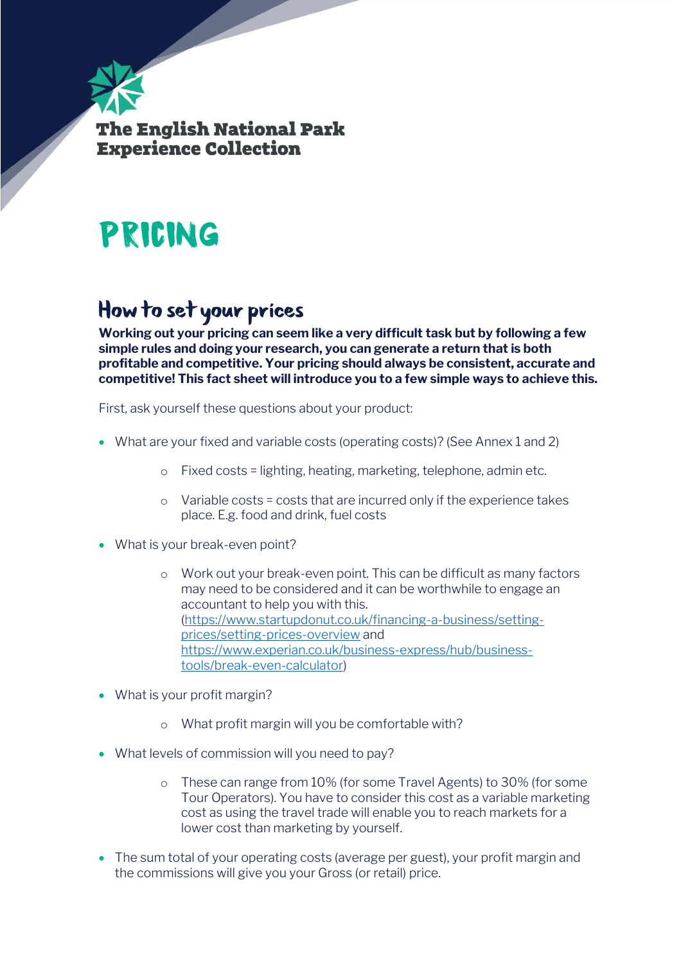

# Pricing

#### How to set your prices

**Working out your pricing can seem like a very difficult task but by following a few simple rules and doing your research, you can generate a return that is both profitable and competitive. Your pricing should always be consistent, accurate and competitive! This fact sheet will introduce you to a few simple ways to achieve this.**

First, ask yourself these questions about your product:

- What are your fixed and variable costs (operating costs)? (See Annex 1 and 2)
	- o Fixed costs = lighting, heating, marketing, telephone, admin etc.
	- o Variable costs = costs that are incurred only if the experience takes place. E.g. food and drink, fuel costs
- What is your break-even point?
	- o Work out your break-even point. This can be difficult as many factors may need to be considered and it can be worthwhile to engage an accountant to help you with this. [\(https://www.startupdonut.co.uk/financing-a-business/setting](https://www.startupdonut.co.uk/financing-a-business/setting-prices/setting-prices-overview)[prices/setting-prices-overview](https://www.startupdonut.co.uk/financing-a-business/setting-prices/setting-prices-overview) and [https://www.experian.co.uk/business-express/hub/business](https://www.experian.co.uk/business-express/hub/business-tools/break-even-calculator)[tools/break-even-calculator\)](https://www.experian.co.uk/business-express/hub/business-tools/break-even-calculator)
- What is your profit margin?
	- o What profit margin will you be comfortable with?
- What levels of commission will you need to pay?
	- o These can range from 10% (for some Travel Agents) to 30% (for some Tour Operators). You have to consider this cost as a variable marketing cost as using the travel trade will enable you to reach markets for a lower cost than marketing by yourself.
- The sum total of your operating costs (average per guest), your profit margin and the commissions will give you your Gross (or retail) price.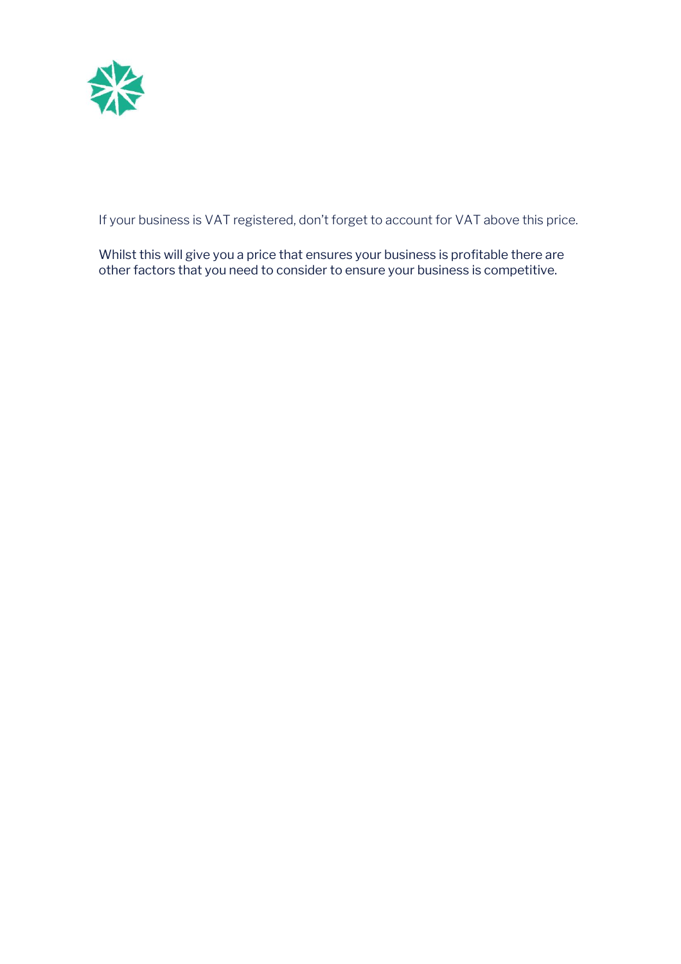

If your business is VAT registered, don't forget to account for VAT above this price.

Whilst this will give you a price that ensures your business is profitable there are other factors that you need to consider to ensure your business is competitive.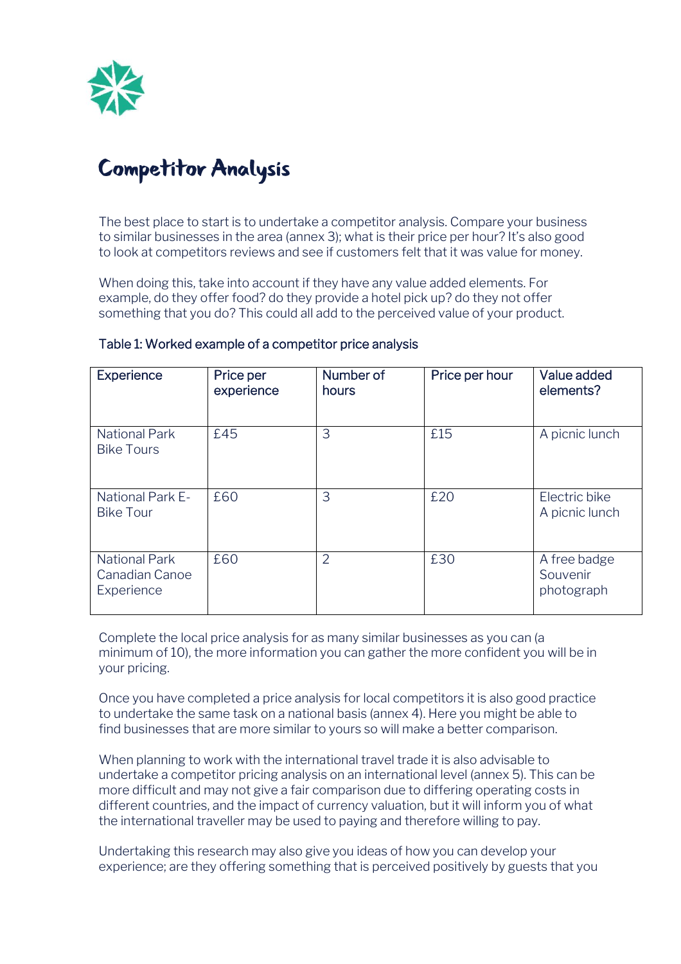

#### **Competitor Analysis**

The best place to start is to undertake a competitor analysis. Compare your business to similar businesses in the area (annex 3); what is their price per hour? It's also good to look at competitors reviews and see if customers felt that it was value for money.

When doing this, take into account if they have any value added elements. For example, do they offer food? do they provide a hotel pick up? do they not offer something that you do? This could all add to the perceived value of your product.

| <b>Experience</b>                                    | Price per<br>experience | Number of<br>hours | Price per hour | Value added<br>elements?               |
|------------------------------------------------------|-------------------------|--------------------|----------------|----------------------------------------|
| <b>National Park</b><br><b>Bike Tours</b>            | £45                     | 3                  | £15            | A picnic lunch                         |
| <b>National Park E-</b><br><b>Bike Tour</b>          | £60                     | 3                  | £20            | Electric bike<br>A picnic lunch        |
| <b>National Park</b><br>Canadian Canoe<br>Experience | £60                     | $\overline{2}$     | £30            | A free badge<br>Souvenir<br>photograph |

#### Table 1: Worked example of a competitor price analysis

Complete the local price analysis for as many similar businesses as you can (a minimum of 10), the more information you can gather the more confident you will be in your pricing.

Once you have completed a price analysis for local competitors it is also good practice to undertake the same task on a national basis (annex 4). Here you might be able to find businesses that are more similar to yours so will make a better comparison.

When planning to work with the international travel trade it is also advisable to undertake a competitor pricing analysis on an international level (annex 5). This can be more difficult and may not give a fair comparison due to differing operating costs in different countries, and the impact of currency valuation, but it will inform you of what the international traveller may be used to paying and therefore willing to pay.

Undertaking this research may also give you ideas of how you can develop your experience; are they offering something that is perceived positively by guests that you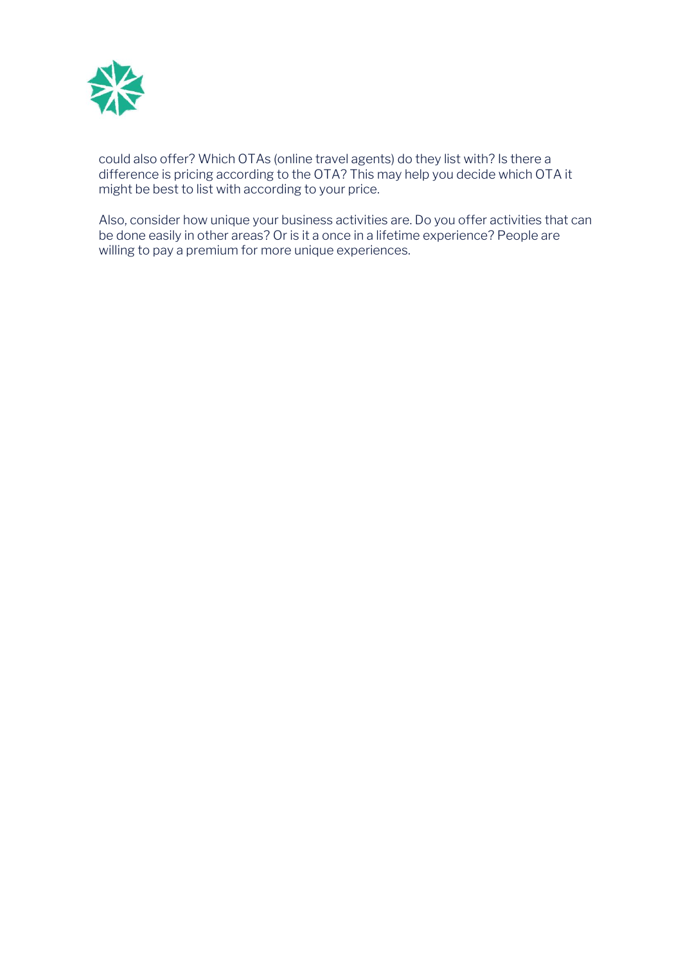

could also offer? Which OTAs (online travel agents) do they list with? Is there a difference is pricing according to the OTA? This may help you decide which OTA it might be best to list with according to your price.

Also, consider how unique your business activities are. Do you offer activities that can be done easily in other areas? Or is it a once in a lifetime experience? People are willing to pay a premium for more unique experiences.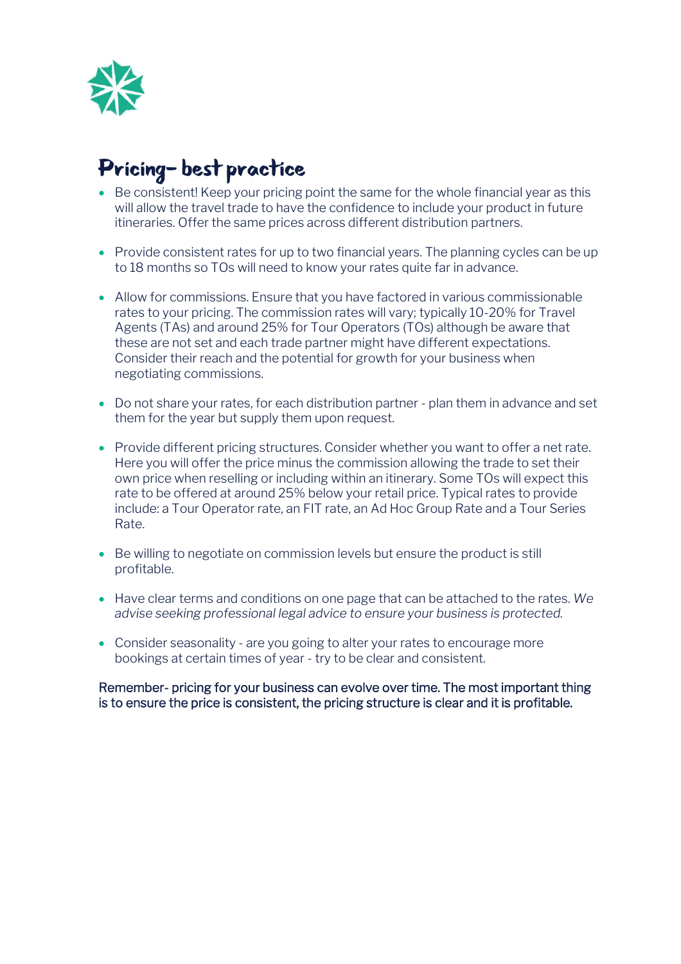

#### Pricing-best practice

- Be consistent! Keep your pricing point the same for the whole financial year as this will allow the travel trade to have the confidence to include your product in future itineraries. Offer the same prices across different distribution partners.
- Provide consistent rates for up to two financial years. The planning cycles can be up to 18 months so TOs will need to know your rates quite far in advance.
- Allow for commissions. Ensure that you have factored in various commissionable rates to your pricing. The commission rates will vary; typically 10-20% for Travel Agents (TAs) and around 25% for Tour Operators (TOs) although be aware that these are not set and each trade partner might have different expectations. Consider their reach and the potential for growth for your business when negotiating commissions.
- Do not share your rates, for each distribution partner plan them in advance and set them for the year but supply them upon request.
- Provide different pricing structures. Consider whether you want to offer a net rate. Here you will offer the price minus the commission allowing the trade to set their own price when reselling or including within an itinerary. Some TOs will expect this rate to be offered at around 25% below your retail price. Typical rates to provide include: a Tour Operator rate, an FIT rate, an Ad Hoc Group Rate and a Tour Series Rate.
- Be willing to negotiate on commission levels but ensure the product is still profitable.
- Have clear terms and conditions on one page that can be attached to the rates. *We advise seeking professional legal advice to ensure your business is protected.*
- Consider seasonality are you going to alter your rates to encourage more bookings at certain times of year - try to be clear and consistent.

Remember- pricing for your business can evolve over time. The most important thing is to ensure the price is consistent, the pricing structure is clear and it is profitable.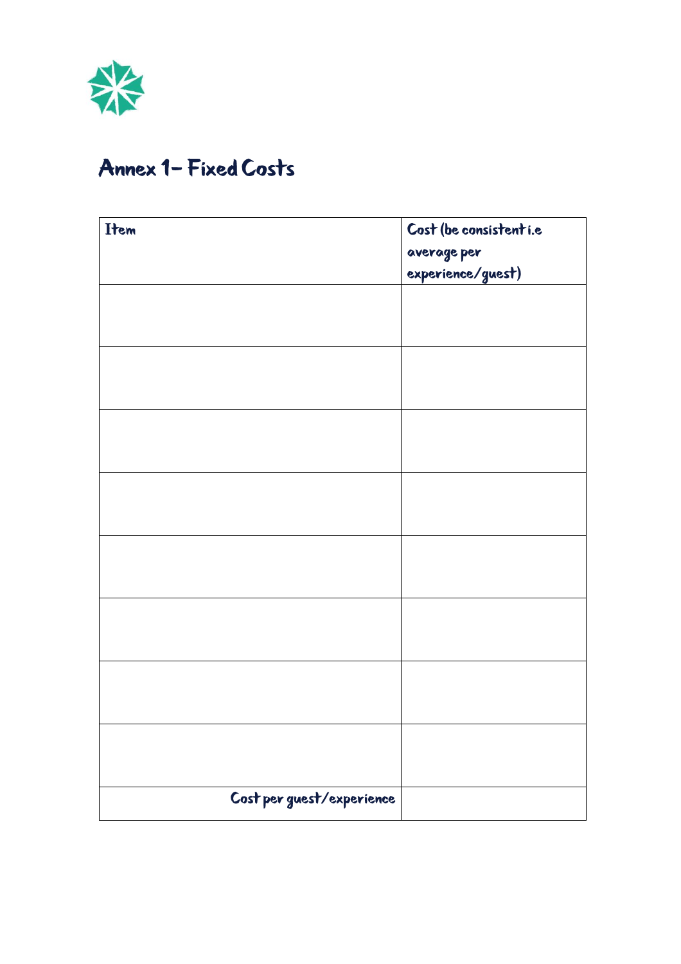

### Annex 1 - Fixed Costs

| Item                      | Cost (be consistent <i>i.e</i>   |  |  |
|---------------------------|----------------------------------|--|--|
|                           | average per<br>experience/guest) |  |  |
|                           |                                  |  |  |
|                           |                                  |  |  |
|                           |                                  |  |  |
|                           |                                  |  |  |
|                           |                                  |  |  |
|                           |                                  |  |  |
|                           |                                  |  |  |
|                           |                                  |  |  |
|                           |                                  |  |  |
|                           |                                  |  |  |
|                           |                                  |  |  |
|                           |                                  |  |  |
|                           |                                  |  |  |
|                           |                                  |  |  |
|                           |                                  |  |  |
|                           |                                  |  |  |
| Cost per guest/experience |                                  |  |  |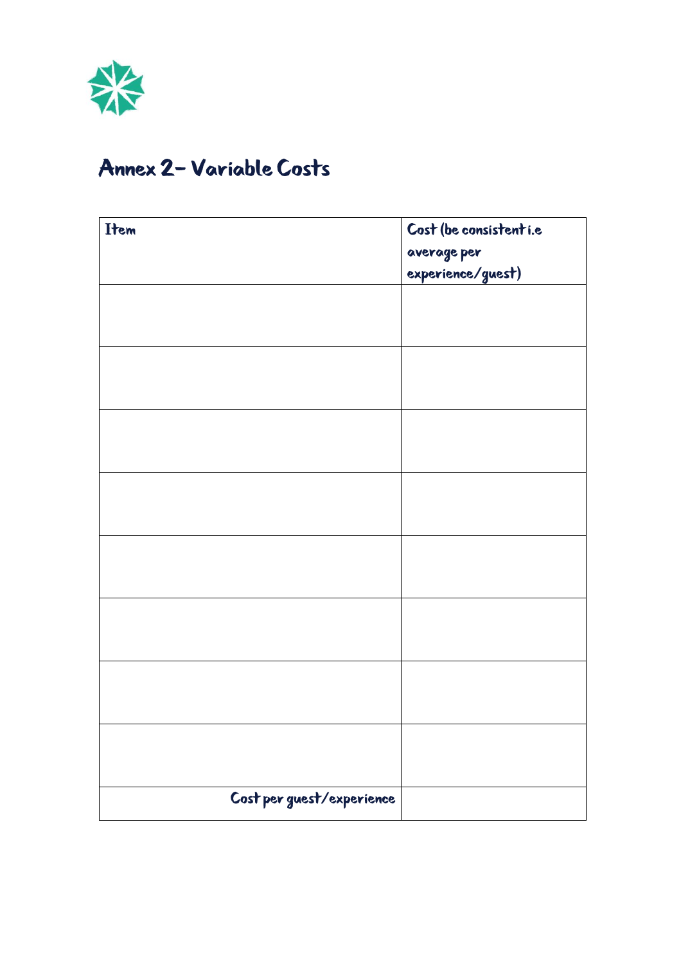

#### Annex 2 - Variable Costs

| Item                      | Cost (be consistent <i>i.e</i>   |
|---------------------------|----------------------------------|
|                           | average per<br>experience/guest) |
|                           |                                  |
|                           |                                  |
|                           |                                  |
|                           |                                  |
|                           |                                  |
|                           |                                  |
|                           |                                  |
|                           |                                  |
|                           |                                  |
|                           |                                  |
|                           |                                  |
|                           |                                  |
|                           |                                  |
|                           |                                  |
|                           |                                  |
|                           |                                  |
|                           |                                  |
|                           |                                  |
|                           |                                  |
|                           |                                  |
|                           |                                  |
| Cost per guest/experience |                                  |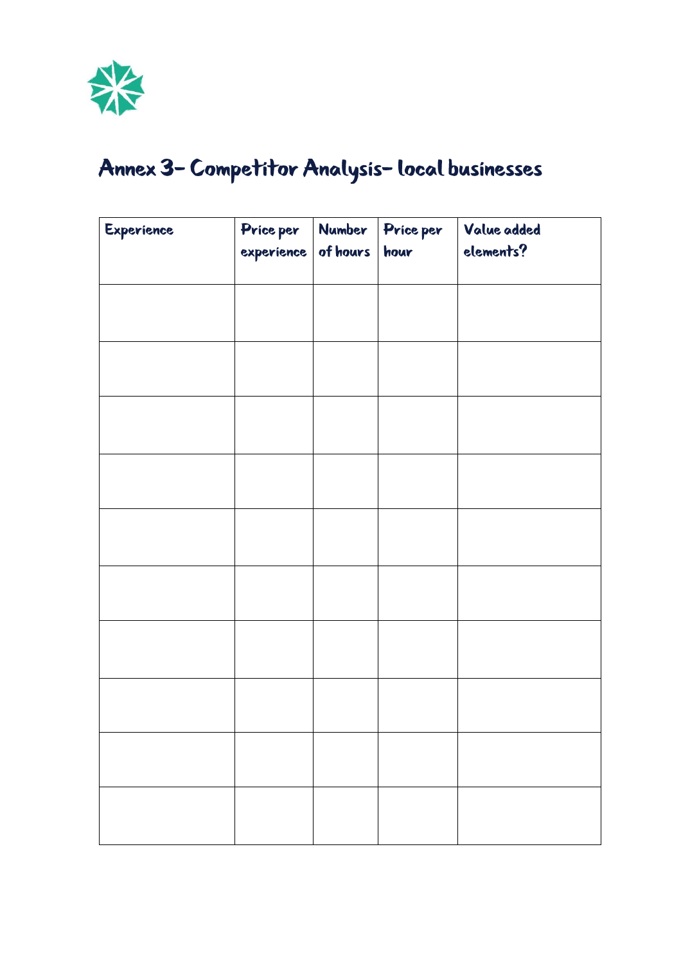

# Annex 3- Competitor Analysis-local businesses

| Experience | Price per             | Number | Price per | Value added |
|------------|-----------------------|--------|-----------|-------------|
|            | $experience$ of hours |        | hour      | elements?   |
|            |                       |        |           |             |
|            |                       |        |           |             |
|            |                       |        |           |             |
|            |                       |        |           |             |
|            |                       |        |           |             |
|            |                       |        |           |             |
|            |                       |        |           |             |
|            |                       |        |           |             |
|            |                       |        |           |             |
|            |                       |        |           |             |
|            |                       |        |           |             |
|            |                       |        |           |             |
|            |                       |        |           |             |
|            |                       |        |           |             |
|            |                       |        |           |             |
|            |                       |        |           |             |
|            |                       |        |           |             |
|            |                       |        |           |             |
|            |                       |        |           |             |
|            |                       |        |           |             |
|            |                       |        |           |             |
|            |                       |        |           |             |
|            |                       |        |           |             |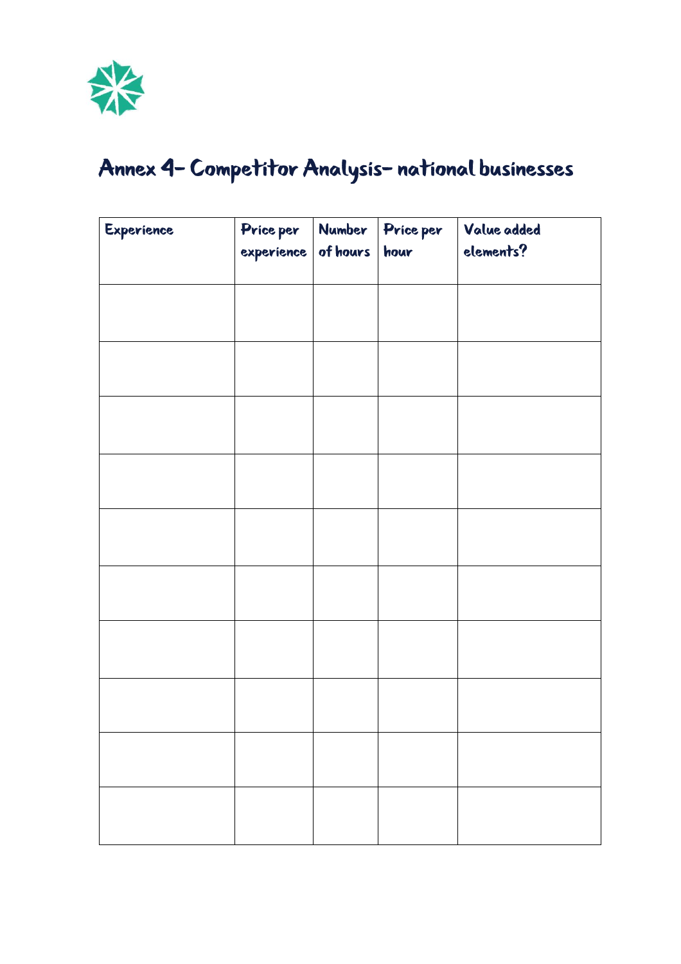

# Annex 4- Competitor Analysis-national businesses

| Experience | Price per  | Number   | <b>Price per</b> | Value added |
|------------|------------|----------|------------------|-------------|
|            | experience | of hours | hour             | elements?   |
|            |            |          |                  |             |
|            |            |          |                  |             |
|            |            |          |                  |             |
|            |            |          |                  |             |
|            |            |          |                  |             |
|            |            |          |                  |             |
|            |            |          |                  |             |
|            |            |          |                  |             |
|            |            |          |                  |             |
|            |            |          |                  |             |
|            |            |          |                  |             |
|            |            |          |                  |             |
|            |            |          |                  |             |
|            |            |          |                  |             |
|            |            |          |                  |             |
|            |            |          |                  |             |
|            |            |          |                  |             |
|            |            |          |                  |             |
|            |            |          |                  |             |
|            |            |          |                  |             |
|            |            |          |                  |             |
|            |            |          |                  |             |